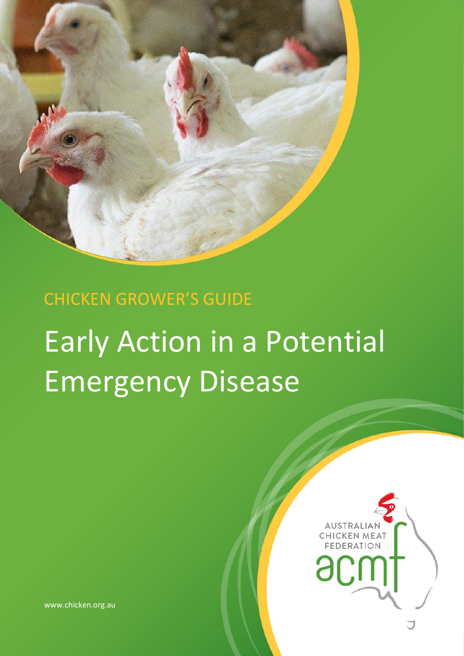

# CHICKEN GROWER'S GUIDE Early Action in a Potential Emergency Disease



www.chicken.org.au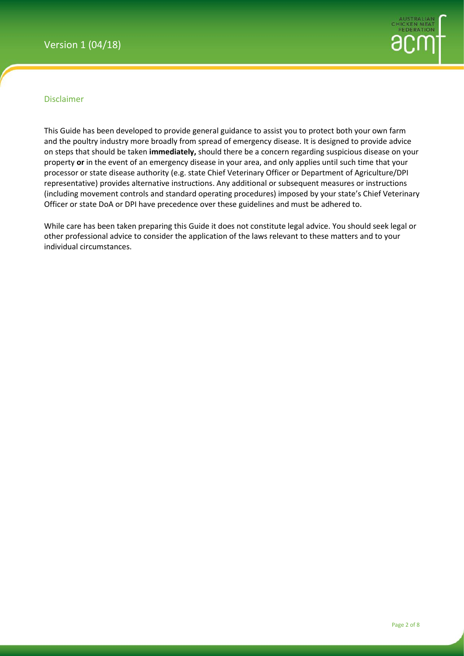

#### Disclaimer

This Guide has been developed to provide general guidance to assist you to protect both your own farm and the poultry industry more broadly from spread of emergency disease. It is designed to provide advice on steps that should be taken **immediately,** should there be a concern regarding suspicious disease on your property **or** in the event of an emergency disease in your area, and only applies until such time that your processor or state disease authority (e.g. state Chief Veterinary Officer or Department of Agriculture/DPI representative) provides alternative instructions. Any additional or subsequent measures or instructions (including movement controls and standard operating procedures) imposed by your state's Chief Veterinary Officer or state DoA or DPI have precedence over these guidelines and must be adhered to.

While care has been taken preparing this Guide it does not constitute legal advice. You should seek legal or other professional advice to consider the application of the laws relevant to these matters and to your individual circumstances.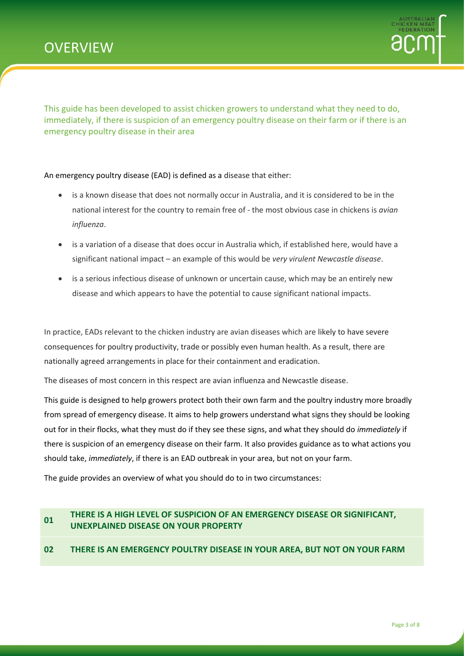

This guide has been developed to assist chicken growers to understand what they need to do, immediately, if there is suspicion of an emergency poultry disease on their farm or if there is an emergency poultry disease in their area

An emergency poultry disease (EAD) is defined as a disease that either:

- is a known disease that does not normally occur in Australia, and it is considered to be in the national interest for the country to remain free of - the most obvious case in chickens is *avian influenza*.
- is a variation of a disease that does occur in Australia which, if established here, would have a significant national impact – an example of this would be *very virulent Newcastle disease*.
- is a serious infectious disease of unknown or uncertain cause, which may be an entirely new disease and which appears to have the potential to cause significant national impacts.

In practice, EADs relevant to the chicken industry are avian diseases which are likely to have severe consequences for poultry productivity, trade or possibly even human health. As a result, there are nationally agreed arrangements in place for their containment and eradication.

The diseases of most concern in this respect are avian influenza and Newcastle disease.

This guide is designed to help growers protect both their own farm and the poultry industry more broadly from spread of emergency disease. It aims to help growers understand what signs they should be looking out for in their flocks, what they must do if they see these signs, and what they should do *immediately* if there is suspicion of an emergency disease on their farm. It also provides guidance as to what actions you should take, *immediately*, if there is an EAD outbreak in your area, but not on your farm.

The guide provides an overview of what you should do to in two circumstances:

#### **<sup>01</sup> THERE IS A HIGH LEVEL OF SUSPICION OF AN EMERGENCY DISEASE OR SIGNIFICANT, UNEXPLAINED DISEASE ON YOUR PROPERTY**

#### **02 THERE IS AN EMERGENCY POULTRY DISEASE IN YOUR AREA, BUT NOT ON YOUR FARM**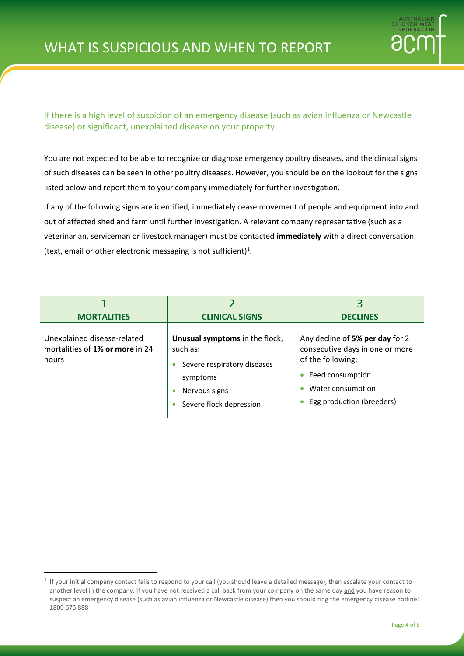

If there is a high level of suspicion of an emergency disease (such as avian influenza or Newcastle disease) or significant, unexplained disease on your property.

You are not expected to be able to recognize or diagnose emergency poultry diseases, and the clinical signs of such diseases can be seen in other poultry diseases. However, you should be on the lookout for the signs listed below and report them to your company immediately for further investigation.

If any of the following signs are identified, immediately cease movement of people and equipment into and out of affected shed and farm until further investigation. A relevant company representative (such as a veterinarian, serviceman or livestock manager) must be contacted **immediately** with a direct conversation (text, email or other electronic messaging is not sufficient)<sup>1</sup>.

| <b>MORTALITIES</b>                                                      | <b>CLINICAL SIGNS</b>                                                                                                             | <b>DECLINES</b>                                                                                                                                               |
|-------------------------------------------------------------------------|-----------------------------------------------------------------------------------------------------------------------------------|---------------------------------------------------------------------------------------------------------------------------------------------------------------|
| Unexplained disease-related<br>mortalities of 1% or more in 24<br>hours | Unusual symptoms in the flock,<br>such as:<br>Severe respiratory diseases<br>symptoms<br>Nervous signs<br>Severe flock depression | Any decline of 5% per day for 2<br>consecutive days in one or more<br>of the following:<br>Feed consumption<br>Water consumption<br>Egg production (breeders) |

**.** 

 $<sup>1</sup>$  If your initial company contact fails to respond to your call (you should leave a detailed message), then escalate your contact to</sup> another level in the company. If you have not received a call back from your company on the same day and you have reason to suspect an emergency disease (such as avian influenza or Newcastle disease) then you should ring the emergency disease hotline: 1800 675 888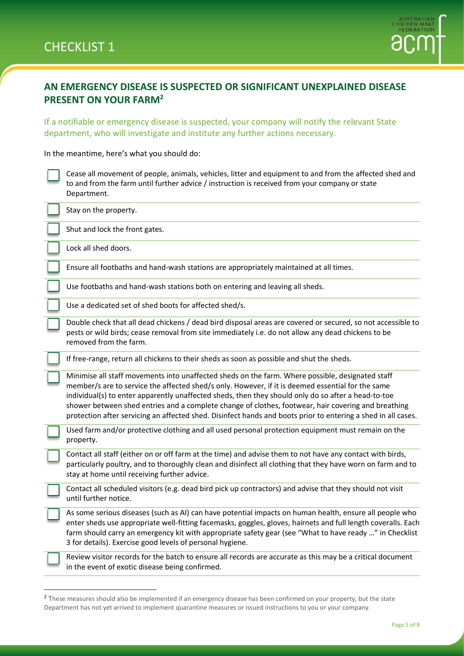$\overline{a}$ 



## **AN EMERGENCY DISEASE IS SUSPECTED OR SIGNIFICANT UNEXPLAINED DISEASE PRESENT ON YOUR FARM<sup>2</sup>**

If a notifiable or emergency disease is suspected, your company will notify the relevant State department, who will investigate and institute any further actions necessary.

In the meantime, here's what you should do:

| Cease all movement of people, animals, vehicles, litter and equipment to and from the affected shed and |
|---------------------------------------------------------------------------------------------------------|
| to and from the farm until further advice / instruction is received from your company or state          |
| Department.                                                                                             |

| Stay on the property.                                                                                                                                                                                                                                                                                                                                                                                                                                                                                                                |
|--------------------------------------------------------------------------------------------------------------------------------------------------------------------------------------------------------------------------------------------------------------------------------------------------------------------------------------------------------------------------------------------------------------------------------------------------------------------------------------------------------------------------------------|
| Shut and lock the front gates.                                                                                                                                                                                                                                                                                                                                                                                                                                                                                                       |
| Lock all shed doors.                                                                                                                                                                                                                                                                                                                                                                                                                                                                                                                 |
| Ensure all footbaths and hand-wash stations are appropriately maintained at all times.                                                                                                                                                                                                                                                                                                                                                                                                                                               |
| Use footbaths and hand-wash stations both on entering and leaving all sheds.                                                                                                                                                                                                                                                                                                                                                                                                                                                         |
| Use a dedicated set of shed boots for affected shed/s.                                                                                                                                                                                                                                                                                                                                                                                                                                                                               |
| Double check that all dead chickens / dead bird disposal areas are covered or secured, so not accessible to<br>pests or wild birds; cease removal from site immediately i.e. do not allow any dead chickens to be<br>removed from the farm.                                                                                                                                                                                                                                                                                          |
| If free-range, return all chickens to their sheds as soon as possible and shut the sheds.                                                                                                                                                                                                                                                                                                                                                                                                                                            |
| Minimise all staff movements into unaffected sheds on the farm. Where possible, designated staff<br>member/s are to service the affected shed/s only. However, if it is deemed essential for the same<br>individual(s) to enter apparently unaffected sheds, then they should only do so after a head-to-toe<br>shower between shed entries and a complete change of clothes, footwear, hair covering and breathing<br>protection after servicing an affected shed. Disinfect hands and boots prior to entering a shed in all cases. |
| Used farm and/or protective clothing and all used personal protection equipment must remain on the<br>property.                                                                                                                                                                                                                                                                                                                                                                                                                      |
| Contact all staff (either on or off farm at the time) and advise them to not have any contact with birds,<br>particularly poultry, and to thoroughly clean and disinfect all clothing that they have worn on farm and to<br>stay at home until receiving further advice.                                                                                                                                                                                                                                                             |
| Contact all scheduled visitors (e.g. dead bird pick up contractors) and advise that they should not visit<br>until further notice.                                                                                                                                                                                                                                                                                                                                                                                                   |
| As some serious diseases (such as AI) can have potential impacts on human health, ensure all people who<br>enter sheds use appropriate well-fitting facemasks, goggles, gloves, hairnets and full length coveralls. Each<br>farm should carry an emergency kit with appropriate safety gear (see "What to have ready " in Checklist<br>3 for details). Exercise good levels of personal hygiene.                                                                                                                                     |
| Review visitor records for the batch to ensure all records are accurate as this may be a critical document<br>in the event of exotic disease being confirmed.                                                                                                                                                                                                                                                                                                                                                                        |

<sup>&</sup>lt;sup>2</sup> These measures should also be implemented if an emergency disease has been confirmed on your property, but the state Department has not yet arrived to implement quarantine measures or issued instructions to you or your company.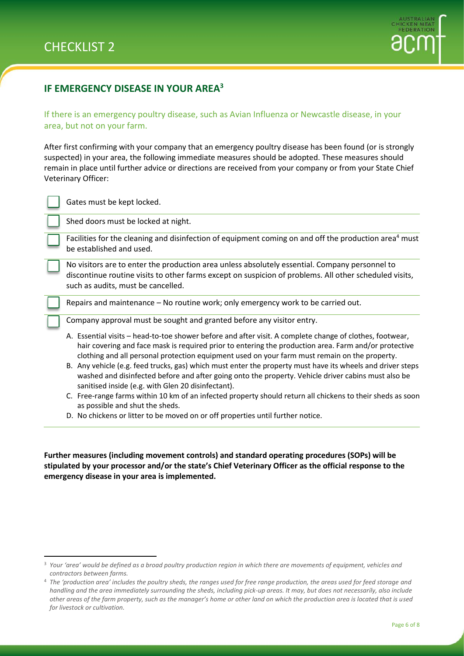**.** 



## **IF EMERGENCY DISEASE IN YOUR AREA<sup>3</sup>**

If there is an emergency poultry disease, such as Avian Influenza or Newcastle disease, in your area, but not on your farm.

After first confirming with your company that an emergency poultry disease has been found (or is strongly suspected) in your area, the following immediate measures should be adopted. These measures should remain in place until further advice or directions are received from your company or from your State Chief Veterinary Officer:

| Gates must be kept locked.                                                                                                                                                                                                                                                                                         |
|--------------------------------------------------------------------------------------------------------------------------------------------------------------------------------------------------------------------------------------------------------------------------------------------------------------------|
| Shed doors must be locked at night.                                                                                                                                                                                                                                                                                |
| Facilities for the cleaning and disinfection of equipment coming on and off the production area <sup>4</sup> must<br>be established and used.                                                                                                                                                                      |
| No visitors are to enter the production area unless absolutely essential. Company personnel to<br>discontinue routine visits to other farms except on suspicion of problems. All other scheduled visits,<br>such as audits, must be cancelled.                                                                     |
| Repairs and maintenance – No routine work; only emergency work to be carried out.                                                                                                                                                                                                                                  |
| Company approval must be sought and granted before any visitor entry.                                                                                                                                                                                                                                              |
| A. Essential visits - head-to-toe shower before and after visit. A complete change of clothes, footwear,<br>hair covering and face mask is required prior to entering the production area. Farm and/or protective<br>clothing and all personal protection equipment used on your farm must remain on the property. |
| B. Any vehicle (e.g. feed trucks, gas) which must enter the property must have its wheels and driver steps<br>washed and disinfected before and after going onto the property. Vehicle driver cabins must also be<br>sanitised inside (e.g. with Glen 20 disinfectant).                                            |
| C. Free-range farms within 10 km of an infected property should return all chickens to their sheds as soon<br>as possible and shut the sheds.                                                                                                                                                                      |

D. No chickens or litter to be moved on or off properties until further notice.

**Further measures (including movement controls) and standard operating procedures (SOPs) will be stipulated by your processor and/or the state's Chief Veterinary Officer as the official response to the emergency disease in your area is implemented.**

<sup>&</sup>lt;sup>3</sup> Your 'area' would be defined as a broad poultry production region in which there are movements of equipment, vehicles and *contractors between farms.*

<sup>4</sup> *The 'production area' includes the poultry sheds, the ranges used for free range production, the areas used for feed storage and handling and the area immediately surrounding the sheds, including pick-up areas. It may, but does not necessarily, also include other areas of the farm property, such as the manager's home or other land on which the production area is located that is used for livestock or cultivation.*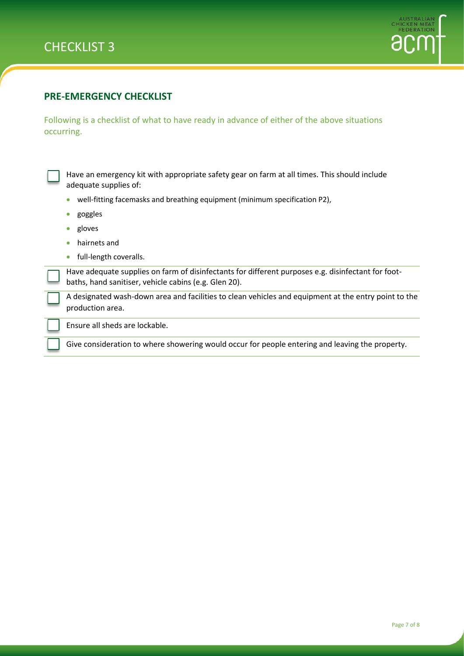



### **PRE-EMERGENCY CHECKLIST**

Following is a checklist of what to have ready in advance of either of the above situations occurring.

Have an emergency kit with appropriate safety gear on farm at all times. This should include adequate supplies of:

- well-fitting facemasks and breathing equipment (minimum specification P2),
- goggles
- gloves
- hairnets and
- full-length coveralls.

Have adequate supplies on farm of disinfectants for different purposes e.g. disinfectant for footbaths, hand sanitiser, vehicle cabins (e.g. Glen 20).

A designated wash-down area and facilities to clean vehicles and equipment at the entry point to the production area.

Ensure all sheds are lockable.

Give consideration to where showering would occur for people entering and leaving the property.